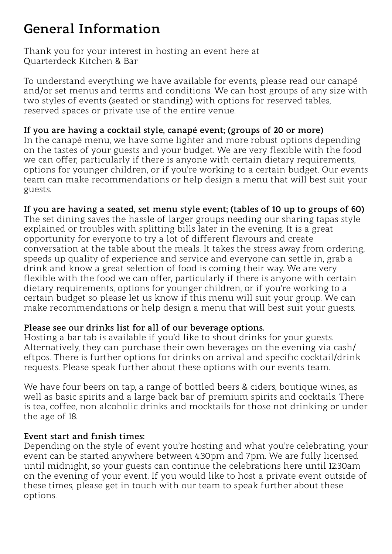# **General Information**

Thank you for your interest in hosting an event here at Quarterdeck Kitchen & Bar

To understand everything we have available for events, please read our canapé and/or set menus and terms and conditions. We can host groups of any size with two styles of events (seated or standing) with options for reserved tables, reserved spaces or private use of the entire venue.

#### **If you are having a cocktail style, canapé event; (groups of 20 or more)**

In the canapé menu, we have some lighter and more robust options depending on the tastes of your guests and your budget. We are very flexible with the food we can offer, particularly if there is anyone with certain dietary requirements, options for younger children, or if you're working to a certain budget. Our events team can make recommendations or help design a menu that will best suit your guests.

#### **If you are having a seated, set menu style event; (tables of 10 up to groups of 60)**

The set dining saves the hassle of larger groups needing our sharing tapas style explained or troubles with splitting bills later in the evening. It is a great opportunity for everyone to try a lot of different flavours and create conversation at the table about the meals. It takes the stress away from ordering, speeds up quality of experience and service and everyone can settle in, grab a drink and know a great selection of food is coming their way. We are very flexible with the food we can offer, particularly if there is anyone with certain dietary requirements, options for younger children, or if you're working to a certain budget so please let us know if this menu will suit your group. We can make recommendations or help design a menu that will best suit your guests.

#### **Please see our drinks list for all of our beverage options.**

Hosting a bar tab is available if you'd like to shout drinks for your guests. Alternatively, they can purchase their own beverages on the evening via cash/ eftpos. There is further options for drinks on arrival and specific cocktail/drink requests. Please speak further about these options with our events team.

We have four beers on tap, a range of bottled beers & ciders, boutique wines, as well as basic spirits and a large back bar of premium spirits and cocktails. There is tea, coffee, non alcoholic drinks and mocktails for those not drinking or under the age of 18.

## **Event start and finish times:**

Depending on the style of event you're hosting and what you're celebrating, your event can be started anywhere between 4:30pm and 7pm. We are fully licensed until midnight, so your guests can continue the celebrations here until 12:30am on the evening of your event. If you would like to host a private event outside of these times, please get in touch with our team to speak further about these options.